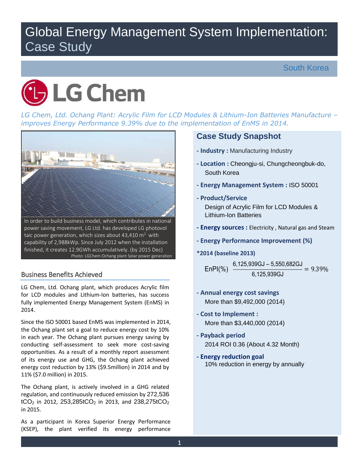# Global Energy Management System Implementation: Case Study



 *LG Chem, Ltd. Ochang Plant: Acrylic Film for LCD Modules & Lithium-Ion Batteries Manufacture – improves Energy Performance 9.39% due to the implementation of EnMS in 2014.* 



taic power generation, which sizes about 43,410  $\text{m}^2$  with power saving movement, LG Ltd. has developed LG photovol capability of 2,988kWp. Since July 2012 when the installation finished, it creates 12.9GWh accumulatively. (by 2015 Dec) Photo: LGChem Ochang plant Solar power generation

# Business Benefits Achieved

 LG Chem, Ltd. Ochang plant, which produces Acrylic film for LCD modules and Lithium-Ion batteries, has success fully implemented Energy Management System (EnMS) in 2014.

 the Ochang plant set a goal to reduce energy cost by 10% in each year. The Ochang plant pursues energy saving by conducting self-assessment to seek more cost-saving opportunities. As a result of a monthly report assessment of its energy use and GHG, the Ochang plant achieved energy cost reduction by 13% (\$9.5million) in 2014 and by Since the ISO 50001 based EnMS was implemented in 2014, 11% (\$7.0 million) in 2015.

 The Ochang plant, is actively involved in a GHG related  $tCO<sub>2</sub>$  in 2012, 253,285tCO<sub>2</sub> in 2013, and 238,275tCO<sub>2</sub> regulation, and continuously reduced emission by 272,536 in 2015.

 As a participant in Korea Superior Energy Performance (KSEP), the plant verified its energy performance

# **Case Study Snapshot**

- **- Industry :** Manufacturing Industry
- **- Location :** Cheongju-si, Chungcheongbuk-do, South Korea
- **- Energy Management System :** ISO 50001
- **- Product/Service**

 Design of Acrylic Film for LCD Modules & Lithium-Ion Batteries

- **- Energy sources :** Electricity , Natural gas and Steam
- **- Energy Performance Improvement (%)**
- **\*2014 (baseline 2013)**

$$
EnPI(\%) \quad \frac{6,125,939GJ - 5,550,682GJ}{6,125,939GJ} = 9.39\%
$$

- **- Annual energy cost savings**  More than \$9,492,000 (2014)
- **- Cost to Implement :**  More than \$3,440,000 (2014)
- 2014 ROI 0.36 (About 4.32 Month) **- Payback period**
- **- Energy reduction goal**  10% reduction in energy by annually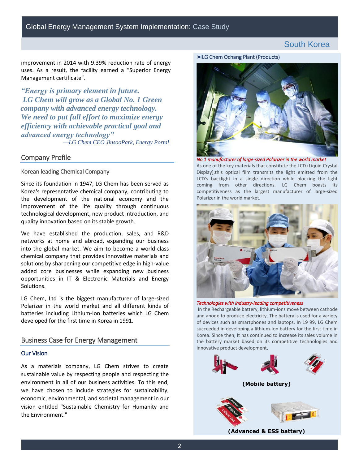improvement in 2014 with 9.39% reduction rate of energy uses. As a result, the facility earned a "Superior Energy Management certificate".

 *LG Chem will grow as a Global No. 1 Green advanced energy technology" —LG Chem CEO JinsooPark, Energy Portal "Energy is primary element in future. company with advanced energy technology. We need to put full effort to maximize energy efficiency with achievable practical goal and* 

# Company Profile

#### Korean leading Chemical Company

 Since its foundation in 1947, LG Chem has been served as Korea's representative chemical company, contributing to the development of the national economy and the improvement of the life quality through continuous quality innovation based on its stable growth. technological development, new product introduction, and

 networks at home and abroad, expanding our business into the global market. We aim to become a world-class chemical company that provides innovative materials and opportunities in IT & Electronic Materials and Energy We have established the production, sales, and R&D solutions by sharpening our competitive edge in high-value added core businesses while expanding new business Solutions. improvement in 2014 with 9.39% reduction rate of energy<br>
Meangement in Environment in future.<br>
"Meangement certificate".<br>
"Concerns the field of Northern Lemann (Products) the concerns of the symphony with advanted energy

 LG Chem, Ltd is the biggest manufacturer of large-sized Polarizer in the world market and all different kinds of batteries including Lithium-Ion batteries which LG Chem developed for the first time in Korea in 1991.

### Business Case for Energy Management

#### Our Vision

 As a materials company, LG Chem strives to create sustainable value by respecting people and respecting the environment in all of our business activities. To this end, we have chosen to include strategies for sustainability, economic, environmental, and societal management in our vision entitled "Sustainable Chemistry for Humanity and





 As one of the key materials that constitute the LCD (Liquid Crystal Display),this optical film transmits the light emitted from the LCD's backlight in a single direction while blocking the light coming from other directions. LG Chem boasts its competitiveness as the largest manufacturer of large-sized *No 1 manufacturer of large-sized Polarizer in the world market*  Polarizer in the world market.



#### *Technologies with industry-leading competitiveness*

 and anode to produce electricity. The battery is used for a variety of devices such as smartphones and laptops. In 19 99, LG Chem succeeded in developing a lithium-ion battery for the first time in Korea. Since then, It has continued to increase its sales volume in the battery market based on its competitive technologies and In the Rechargeable battery, lithium-ions move between cathode innovative product development.



 **(Advanced & ESS battery)**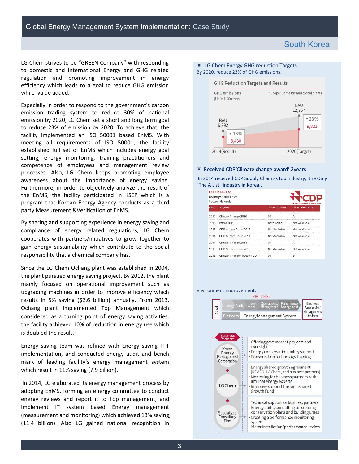to domestic and international Energy and GHG related regulation and promoting improvement in energy efficiency which leads to a goal to reduce GHG emission while value added. while value added.<br>Especially in order to respond to the government's carbon LG Chem strives to be "GREEN Company" with responding

 emission trading system to reduce 30% of national emission by 2020, LG Chem set a short and long term goal to reduce 23% of emission by 2020. To achieve that, the facility implemented an ISO 50001 based EnMS. With established full set of EnMS which includes energy goal setting, energy monitoring, training practitioners and processes. Also, LG Chem keeps promoting employee awareness about the importance of energy saving. Furthermore, in order to objectively analyze the result of the EnMS, the facility participated in KSEP which is a program that Korean Energy Agency conducts as a third meeting all requirements of ISO 50001, the facility competence of employees and management review party Measurement &Verification of EnMS.

 By sharing and supporting experience in energy saving and compliance of energy related regulations, LG Chem cooperates with partners/initiatives to grow together to gain energy sustainability which contribute to the social responsibility that a chemical company has.

 Since the LG Chem Ochang plant was established in 2004, mainly focused on operational improvement such as upgrading machines in order to improve efficiency which results in 5% saving (\$2.6 billion) annually. From 2013, Ochang plant implemented Top Management which considered as a turning point of energy saving activities, the plant pursued energy saving project. By 2012, the plant the facility achieved 10% of reduction in energy use which is doubled the result.

 Energy saving team was refined with Energy saving TFT implementation, and conducted energy audit and bench mark of leading facility's energy management system which result in 11% saving (7.9 billion). which result in 11% saving (7.9 billion).<br>In 2014, LG elaborated its energy management process by

 adopting EnMS, forming an energy committee to conduct energy reviews and report it to Top management, and (11.4 billion). Also LG gained national recognition in implement IT system based Energy management (measurement and monitoring) which achieved 13% saving,

#### **GHG Reduction Targets and Results GHG** emissions \* Scope: Domestic and global plants (Unit: 1,000 tons) **BAU** 12,757  $-23%$ **BAU** 9,992 9,821  $-16%$ 8.430 2014(Result) 2020(Target)

#### ▣ Received CDP'Climate change award' 2years

▣ LG Chem Energy GHG reduction Targets By 2020, reduce 23% of GHG emissions.

In 2014 received CDP Supply Chain as top industry, the Only "The A List" industry in Korea..

|      | LG Chem Ltd<br>Country: South Korea<br>Sector: Materials |                         | CDP<br>DRIVING SUSTAINABLE ECONOR |
|------|----------------------------------------------------------|-------------------------|-----------------------------------|
| Year | Program                                                  | <b>Disclosure Score</b> | Performance Band                  |
| 2015 | Climate Change 2015                                      | 98                      |                                   |
| 2015 | Water 2015                                               | Not Scored              | Not Available                     |
| 2015 | CDP Supply Chain 2015                                    | Not Available           | Not Available                     |
| 2014 | CDP Supply Chain 2014                                    | Not Available           | Not Available                     |
| 2014 | Climate Change 2014                                      | 99                      | Α                                 |
| 2013 | CDP Supply Chain 2013                                    | Not Available           | Not Available                     |
|      | 2013 Climate Change (Investor CDP)                       | 95                      | R                                 |

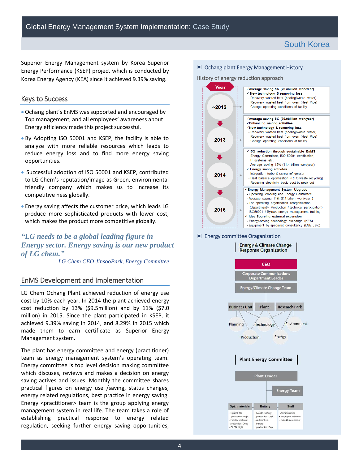Superior Energy Management system by Korea Superior Energy Performance (KSEP) project which is conducted by Korea Energy Agency (KEA) since it achieved 9.39% saving.

# Keys to Success

- Ochang plant's EnMS was supported and encouraged by Top management, and all employees' awareness about Energy efficiency made this project successful.
- By Adopting ISO 50001 and KSEP, the facility is able to analyze with more reliable resources which leads to reduce energy loss and to find more energy saving opportunities.
- Successful adoption of ISO 50001 and KSEP, contributed to LG Chem's reputation/image as Green, environmental friendly company which makes us to increase its competitive ness globally.
- Energy saving affects the customer price, which leads LG produce more sophisticated products with lower cost, which makes the product more competitive globally.

# *Energy sector. Energy saving is our new product of LG chem." "LG needs to be a global leading figure in*

*—LG Chem CEO JinsooPark, Energy Committee* 

# EnMS Development and Implementation

 LG Chem Ochang Plant achieved reduction of energy use cost by 10% each year. In 2014 the plant achieved energy cost reduction by 13% (\$9.5million) and by 11% (\$7.0 million) in 2015. Since the plant participated in KSEP, it achieved 9.39% saving in 2014, and 8.29% in 2015 which made them to earn certificate as Superior Energy Management system.

 The plant has energy committee and energy (practitioner) team as energy management system's operating team. Energy committee is top level decision making committee which discuses, reviews and makes a decision on energy saving actives and issues. Monthly the committee shares practical figures on energy use /saving, status changes, energy related regulations, best practice in energy saving. Energy <practitioner> team is the group applying energy management system in real life. The team takes a role of establishing practical response to energy related regulation, seeking further energy saving opportunities,

#### ▣ Ochang plant Energy Management History

#### History of energy reduction approach



#### ▣ Energy committee Oraganization

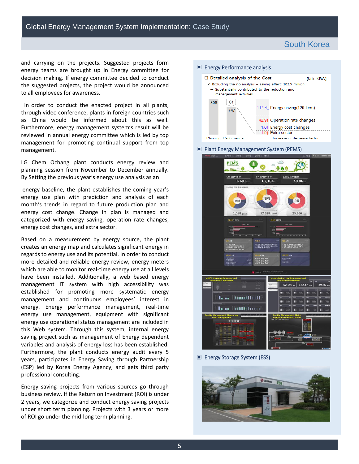and carrying on the projects. Suggested projects form energy teams are brought up in Energy committee for decision making. If energy committee decided to conduct the suggested projects, the project would be announced to all employees for awareness.

 In order to conduct the enacted project in all plants, through video conference, plants in foreign countries such as China would be informed about this as well. Furthermore, energy management system's result will be reviewed in annual energy committee which is led by top management for promoting continual support from top management.

 LG Chem Ochang plant conducts energy review and planning session from November to December annually. By Setting the previous year's energy use analysis as an

 energy baseline, the plant establishes the coming year's energy use plan with prediction and analysis of each month's trends in regard to future production plan and energy cost change. Change in plan is managed and categorized with energy saving, operation rate changes, energy cost changes, and extra sector.

 Based on a measurement by energy source, the plant creates an energy map and calculates significant energy in which are able to monitor real-time energy use at all levels established for promoting more systematic energy management and continuous employees' interest in energy. Energy performance management, real-time this Web system. Through this system, internal energy saving project such as management of Energy dependent variables and analysis of energy loss has been established. Furthermore, the plant conducts energy audit every 5 (ESP) led by Korea Energy Agency, and gets third party regards to energy use and its potential. In order to conduct more detailed and reliable energy review, energy meters have been installed. Additionally, a web based energy management IT system with high accessibility was energy use management, equipment with significant energy use operational status management are included in years, participates in Energy Saving through Partnership professional consulting.

 Energy saving projects from various sources go through business review. If the Return on Investment (ROI) is under 2 years, we categorize and conduct energy saving projects under short term planning. Projects with 3 years or more of ROI go under the mid-long term planning.





▣ Energy Storage System (ESS)

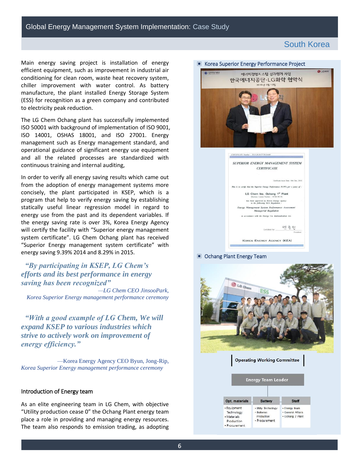Main energy saving project is installation of energy efficient equipment, such as improvement in industrial air chiller improvement with water control. As battery manufacture, the plant installed Energy Storage System (ESS) for recognition as a green company and contributed conditioning for clean room, waste heat recovery system, to electricity peak reduction.

 The LG Chem Ochang plant has successfully implemented management such as Energy management standard, and ISO 50001 with background of implementation of ISO 9001, ISO 14001, OSHAS 18001, and ISO 27001. Energy operational guidance of significant energy use equipment and all the related processes are standardized with continuous training and internal auditing,

 In order to verify all energy saving results which came out from the adoption of energy management systems more concisely, the plant participated in KSEP, which is a program that help to verify energy saving by establishing statically useful linear regression model in regard to energy use from the past and its dependent variables. If the energy saving rate is over 3%, Korea Energy Agency system certificate". LG Chem Ochang plant has received energy saving 9.39% 2014 and 8.29% in 2015. will certify the facility with "Superior energy management "Superior Energy management system certificate" with

# *"By participating in KSEP, LG Chem's efforts and its best performance in energy saving has been recognized"*

 *—LG Chem CEO JinsooPark, Korea Superior Energy management performance ceremony* 

*"With a good example of LG Chem, We will expand KSEP to various industries which strive to actively work on improvement of energy efficiency."* 

 *Korea Superior Energy management performance ceremony*  —Korea Energy Agency CEO Byun, Jong-Rip,

#### Introduction of Energy team

 As an elite engineering team in LG Chem, with objective "Utility production cease 0" the Ochang Plant energy team place a role in providing and managing energy resources. The team also responds to emission trading, as adopting



#### ▣ Ochang Plant Energy Team